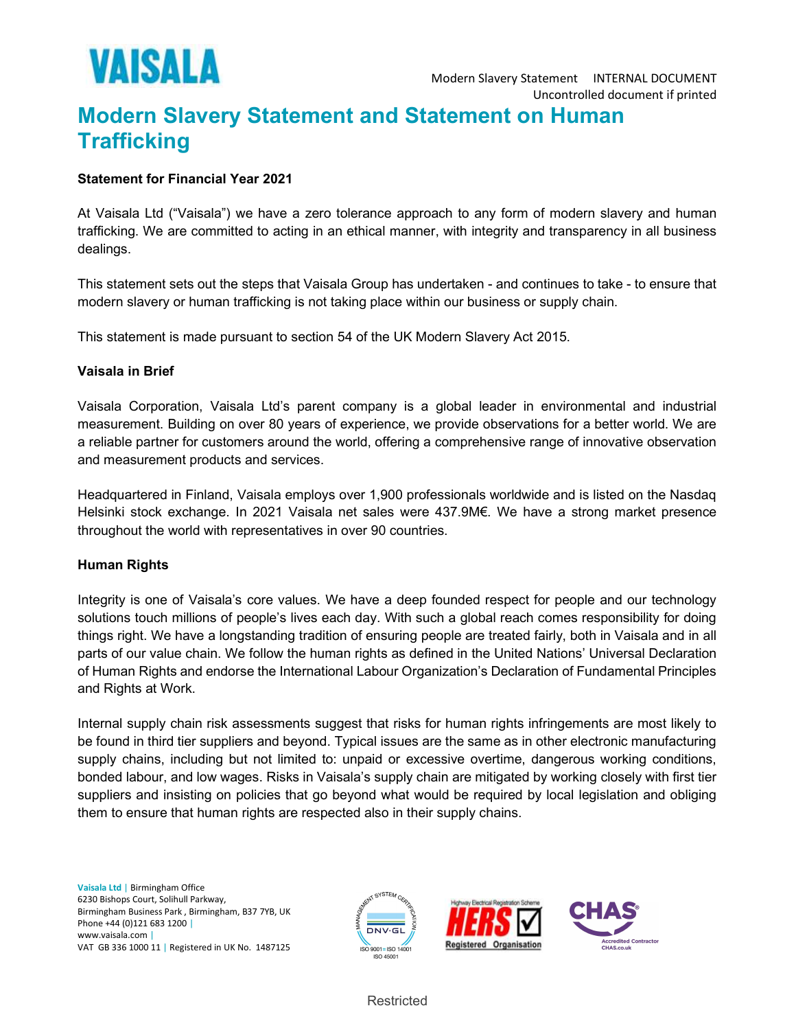

# Modern Slavery Statement and Statement on Human **Trafficking**

### Statement for Financial Year 2021

At Vaisala Ltd ("Vaisala") we have a zero tolerance approach to any form of modern slavery and human trafficking. We are committed to acting in an ethical manner, with integrity and transparency in all business dealings.

This statement sets out the steps that Vaisala Group has undertaken - and continues to take - to ensure that modern slavery or human trafficking is not taking place within our business or supply chain.

This statement is made pursuant to section 54 of the UK Modern Slavery Act 2015.

## Vaisala in Brief

Vaisala Corporation, Vaisala Ltd's parent company is a global leader in environmental and industrial measurement. Building on over 80 years of experience, we provide observations for a better world. We are a reliable partner for customers around the world, offering a comprehensive range of innovative observation and measurement products and services.

Headquartered in Finland, Vaisala employs over 1,900 professionals worldwide and is listed on the Nasdaq Helsinki stock exchange. In 2021 Vaisala net sales were 437.9M€. We have a strong market presence throughout the world with representatives in over 90 countries.

#### Human Rights

Integrity is one of Vaisala's core values. We have a deep founded respect for people and our technology solutions touch millions of people's lives each day. With such a global reach comes responsibility for doing things right. We have a longstanding tradition of ensuring people are treated fairly, both in Vaisala and in all parts of our value chain. We follow the human rights as defined in the United Nations' Universal Declaration of Human Rights and endorse the International Labour Organization's Declaration of Fundamental Principles and Rights at Work.

Internal supply chain risk assessments suggest that risks for human rights infringements are most likely to be found in third tier suppliers and beyond. Typical issues are the same as in other electronic manufacturing supply chains, including but not limited to: unpaid or excessive overtime, dangerous working conditions, bonded labour, and low wages. Risks in Vaisala's supply chain are mitigated by working closely with first tier suppliers and insisting on policies that go beyond what would be required by local legislation and obliging them to ensure that human rights are respected also in their supply chains.

Vaisala Ltd | Birmingham Office 6230 Bishops Court, Solihull Parkway, Birmingham Business Park , Birmingham, B37 7YB, UK Phone +44 (0)121 683 1200 | www.vaisala.com | VAT GB 336 1000 11 | Registered in UK No. 1487125





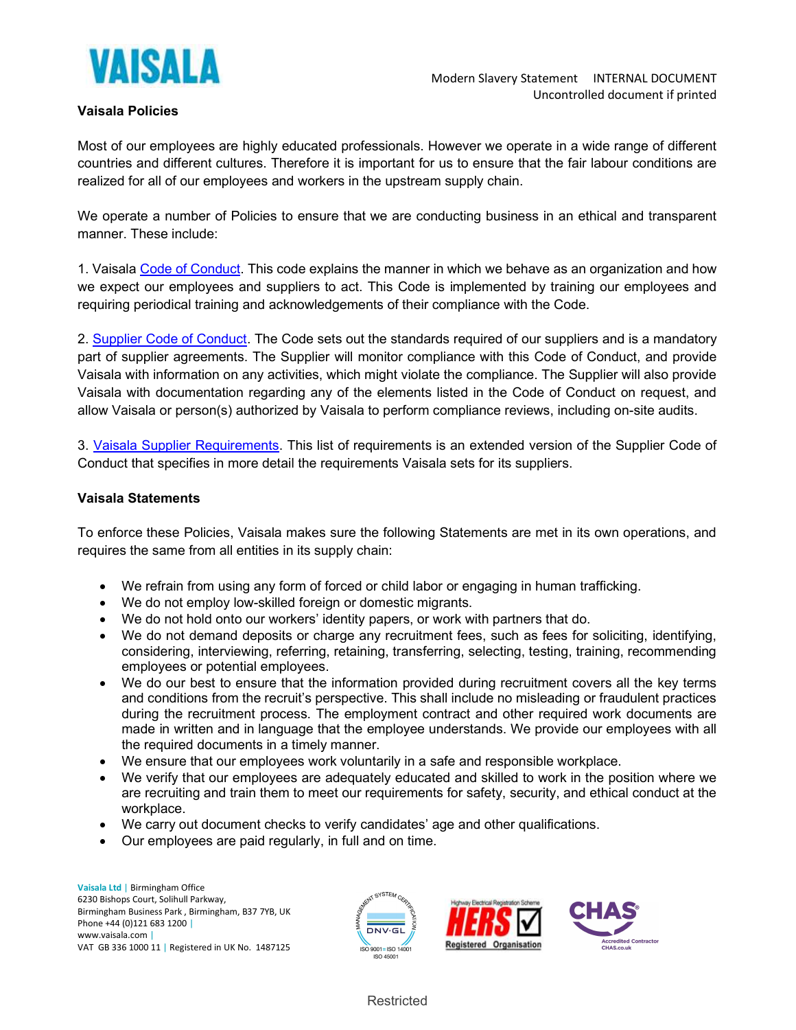

## Vaisala Policies

Most of our employees are highly educated professionals. However we operate in a wide range of different countries and different cultures. Therefore it is important for us to ensure that the fair labour conditions are realized for all of our employees and workers in the upstream supply chain.

We operate a number of Policies to ensure that we are conducting business in an ethical and transparent manner. These include:

1. Vaisala Code of Conduct. This code explains the manner in which we behave as an organization and how we expect our employees and suppliers to act. This Code is implemented by training our employees and requiring periodical training and acknowledgements of their compliance with the Code.

2. Supplier Code of Conduct. The Code sets out the standards required of our suppliers and is a mandatory part of supplier agreements. The Supplier will monitor compliance with this Code of Conduct, and provide Vaisala with information on any activities, which might violate the compliance. The Supplier will also provide Vaisala with documentation regarding any of the elements listed in the Code of Conduct on request, and allow Vaisala or person(s) authorized by Vaisala to perform compliance reviews, including on-site audits.

3. Vaisala Supplier Requirements. This list of requirements is an extended version of the Supplier Code of Conduct that specifies in more detail the requirements Vaisala sets for its suppliers.

#### Vaisala Statements

To enforce these Policies, Vaisala makes sure the following Statements are met in its own operations, and requires the same from all entities in its supply chain:

- We refrain from using any form of forced or child labor or engaging in human trafficking.
- We do not employ low-skilled foreign or domestic migrants.
- We do not hold onto our workers' identity papers, or work with partners that do.
- We do not demand deposits or charge any recruitment fees, such as fees for soliciting, identifying, considering, interviewing, referring, retaining, transferring, selecting, testing, training, recommending employees or potential employees.
- We do our best to ensure that the information provided during recruitment covers all the key terms and conditions from the recruit's perspective. This shall include no misleading or fraudulent practices during the recruitment process. The employment contract and other required work documents are made in written and in language that the employee understands. We provide our employees with all the required documents in a timely manner.
- We ensure that our employees work voluntarily in a safe and responsible workplace.
- We verify that our employees are adequately educated and skilled to work in the position where we are recruiting and train them to meet our requirements for safety, security, and ethical conduct at the workplace.
- We carry out document checks to verify candidates' age and other qualifications.
- Our employees are paid regularly, in full and on time.

Vaisala Ltd | Birmingham Office 6230 Bishops Court, Solihull Parkway, Birmingham Business Park , Birmingham, B37 7YB, UK Phone +44 (0)121 683 1200 | www.vaisala.com | VAT GB 336 1000 11 | Registered in UK No. 1487125





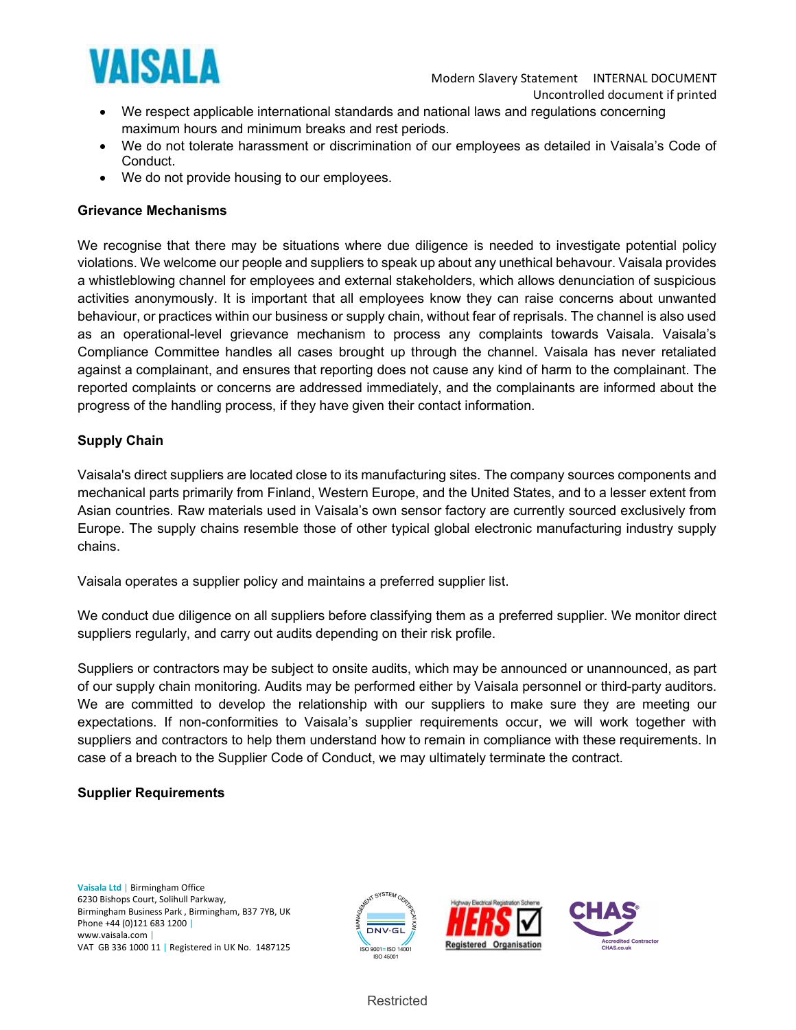

- We respect applicable international standards and national laws and regulations concerning maximum hours and minimum breaks and rest periods.
- We do not tolerate harassment or discrimination of our employees as detailed in Vaisala's Code of Conduct.
- We do not provide housing to our employees.

#### Grievance Mechanisms

We recognise that there may be situations where due diligence is needed to investigate potential policy violations. We welcome our people and suppliers to speak up about any unethical behavour. Vaisala provides a whistleblowing channel for employees and external stakeholders, which allows denunciation of suspicious activities anonymously. It is important that all employees know they can raise concerns about unwanted behaviour, or practices within our business or supply chain, without fear of reprisals. The channel is also used as an operational-level grievance mechanism to process any complaints towards Vaisala. Vaisala's Compliance Committee handles all cases brought up through the channel. Vaisala has never retaliated against a complainant, and ensures that reporting does not cause any kind of harm to the complainant. The reported complaints or concerns are addressed immediately, and the complainants are informed about the progress of the handling process, if they have given their contact information.

## Supply Chain

Vaisala's direct suppliers are located close to its manufacturing sites. The company sources components and mechanical parts primarily from Finland, Western Europe, and the United States, and to a lesser extent from Asian countries. Raw materials used in Vaisala's own sensor factory are currently sourced exclusively from Europe. The supply chains resemble those of other typical global electronic manufacturing industry supply chains.

Vaisala operates a supplier policy and maintains a preferred supplier list.

We conduct due diligence on all suppliers before classifying them as a preferred supplier. We monitor direct suppliers regularly, and carry out audits depending on their risk profile.

Suppliers or contractors may be subject to onsite audits, which may be announced or unannounced, as part of our supply chain monitoring. Audits may be performed either by Vaisala personnel or third-party auditors. We are committed to develop the relationship with our suppliers to make sure they are meeting our expectations. If non-conformities to Vaisala's supplier requirements occur, we will work together with suppliers and contractors to help them understand how to remain in compliance with these requirements. In case of a breach to the Supplier Code of Conduct, we may ultimately terminate the contract.

#### Supplier Requirements

Vaisala Ltd | Birmingham Office 6230 Bishops Court, Solihull Parkway, Birmingham Business Park , Birmingham, B37 7YB, UK Phone +44 (0)121 683 1200 | www.vaisala.com | VAT GB 336 1000 11 | Registered in UK No. 1487125